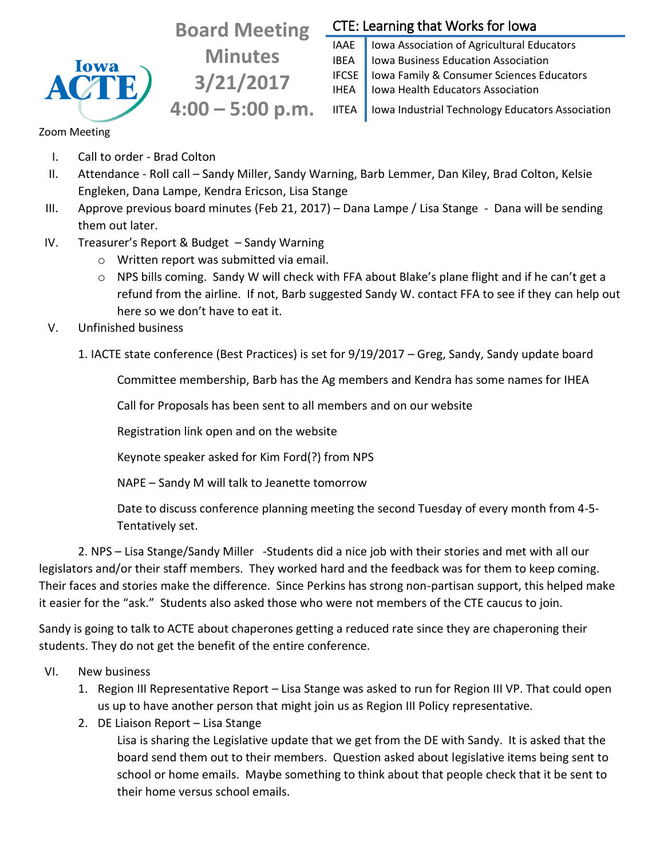

**Board Meeting Minutes 3/21/2017 4:00 – 5:00 p.m.**

## CTE: Learning that Works for Iowa

IAAE | Iowa Association of Agricultural Educators **IBEA** | Iowa Business Education Association IFCSE Iowa Family & Consumer Sciences Educators IHEA | Iowa Health Educators Association

IITEA | Iowa Industrial Technology Educators Association

Zoom Meeting

- I. Call to order Brad Colton
- II. Attendance Roll call Sandy Miller, Sandy Warning, Barb Lemmer, Dan Kiley, Brad Colton, Kelsie Engleken, Dana Lampe, Kendra Ericson, Lisa Stange
- III. Approve previous board minutes (Feb 21, 2017) Dana Lampe / Lisa Stange Dana will be sending them out later.
- IV. Treasurer's Report & Budget Sandy Warning
	- o Written report was submitted via email.
	- o NPS bills coming. Sandy W will check with FFA about Blake's plane flight and if he can't get a refund from the airline. If not, Barb suggested Sandy W. contact FFA to see if they can help out here so we don't have to eat it.
- V. Unfinished business
	- 1. IACTE state conference (Best Practices) is set for 9/19/2017 Greg, Sandy, Sandy update board

Committee membership, Barb has the Ag members and Kendra has some names for IHEA

Call for Proposals has been sent to all members and on our website

Registration link open and on the website

Keynote speaker asked for Kim Ford(?) from NPS

NAPE – Sandy M will talk to Jeanette tomorrow

Date to discuss conference planning meeting the second Tuesday of every month from 4-5- Tentatively set.

2. NPS – Lisa Stange/Sandy Miller -Students did a nice job with their stories and met with all our legislators and/or their staff members. They worked hard and the feedback was for them to keep coming. Their faces and stories make the difference. Since Perkins has strong non-partisan support, this helped make it easier for the "ask." Students also asked those who were not members of the CTE caucus to join.

Sandy is going to talk to ACTE about chaperones getting a reduced rate since they are chaperoning their students. They do not get the benefit of the entire conference.

- VI. New business
	- 1. Region III Representative Report Lisa Stange was asked to run for Region III VP. That could open us up to have another person that might join us as Region III Policy representative.
	- 2. DE Liaison Report Lisa Stange

Lisa is sharing the Legislative update that we get from the DE with Sandy. It is asked that the board send them out to their members. Question asked about legislative items being sent to school or home emails. Maybe something to think about that people check that it be sent to their home versus school emails.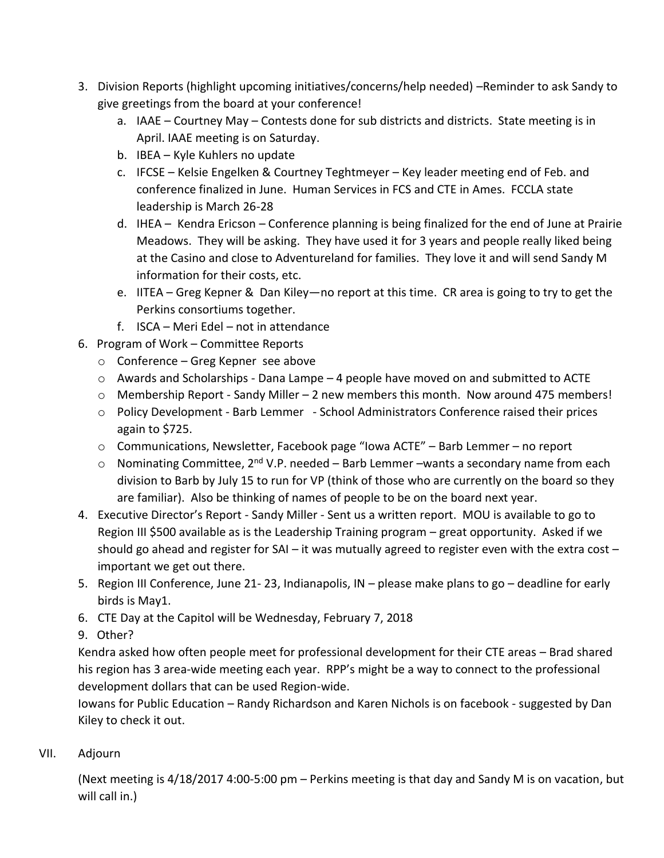- 3. Division Reports (highlight upcoming initiatives/concerns/help needed) –Reminder to ask Sandy to give greetings from the board at your conference!
	- a. IAAE Courtney May Contests done for sub districts and districts. State meeting is in April. IAAE meeting is on Saturday.
	- b. IBEA Kyle Kuhlers no update
	- c. IFCSE Kelsie Engelken & Courtney Teghtmeyer Key leader meeting end of Feb. and conference finalized in June. Human Services in FCS and CTE in Ames. FCCLA state leadership is March 26-28
	- d. IHEA Kendra Ericson Conference planning is being finalized for the end of June at Prairie Meadows. They will be asking. They have used it for 3 years and people really liked being at the Casino and close to Adventureland for families. They love it and will send Sandy M information for their costs, etc.
	- e. IITEA Greg Kepner & Dan Kiley—no report at this time. CR area is going to try to get the Perkins consortiums together.
	- f. ISCA Meri Edel not in attendance
- 6. Program of Work Committee Reports
	- o Conference Greg Kepner see above
	- $\circ$  Awards and Scholarships Dana Lampe 4 people have moved on and submitted to ACTE
	- $\circ$  Membership Report Sandy Miller 2 new members this month. Now around 475 members!
	- o Policy Development Barb Lemmer School Administrators Conference raised their prices again to \$725.
	- o Communications, Newsletter, Facebook page "Iowa ACTE" Barb Lemmer no report
	- $\circ$  Nominating Committee, 2<sup>nd</sup> V.P. needed Barb Lemmer –wants a secondary name from each division to Barb by July 15 to run for VP (think of those who are currently on the board so they are familiar). Also be thinking of names of people to be on the board next year.
- 4. Executive Director's Report Sandy Miller Sent us a written report. MOU is available to go to Region III \$500 available as is the Leadership Training program – great opportunity. Asked if we should go ahead and register for SAI – it was mutually agreed to register even with the extra cost – important we get out there.
- 5. Region III Conference, June 21- 23, Indianapolis, IN please make plans to go deadline for early birds is May1.
- 6. CTE Day at the Capitol will be Wednesday, February 7, 2018
- 9. Other?

Kendra asked how often people meet for professional development for their CTE areas – Brad shared his region has 3 area-wide meeting each year. RPP's might be a way to connect to the professional development dollars that can be used Region-wide.

Iowans for Public Education – Randy Richardson and Karen Nichols is on facebook - suggested by Dan Kiley to check it out.

VII. Adjourn

(Next meeting is 4/18/2017 4:00-5:00 pm – Perkins meeting is that day and Sandy M is on vacation, but will call in.)